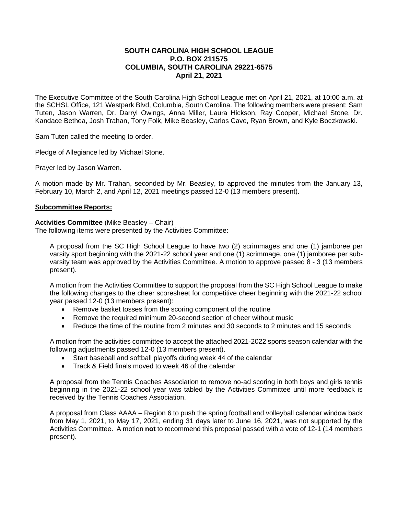# **SOUTH CAROLINA HIGH SCHOOL LEAGUE P.O. BOX 211575 COLUMBIA, SOUTH CAROLINA 29221-6575 April 21, 2021**

The Executive Committee of the South Carolina High School League met on April 21, 2021, at 10:00 a.m. at the SCHSL Office, 121 Westpark Blvd, Columbia, South Carolina. The following members were present: Sam Tuten, Jason Warren, Dr. Darryl Owings, Anna Miller, Laura Hickson, Ray Cooper, Michael Stone, Dr. Kandace Bethea, Josh Trahan, Tony Folk, Mike Beasley, Carlos Cave, Ryan Brown, and Kyle Boczkowski.

Sam Tuten called the meeting to order.

Pledge of Allegiance led by Michael Stone.

Prayer led by Jason Warren.

A motion made by Mr. Trahan, seconded by Mr. Beasley, to approved the minutes from the January 13, February 10, March 2, and April 12, 2021 meetings passed 12-0 (13 members present).

# **Subcommittee Reports:**

### **Activities Committee** (Mike Beasley – Chair)

The following items were presented by the Activities Committee:

A proposal from the SC High School League to have two (2) scrimmages and one (1) jamboree per varsity sport beginning with the 2021-22 school year and one (1) scrimmage, one (1) jamboree per subvarsity team was approved by the Activities Committee. A motion to approve passed 8 - 3 (13 members present).

A motion from the Activities Committee to support the proposal from the SC High School League to make the following changes to the cheer scoresheet for competitive cheer beginning with the 2021-22 school year passed 12-0 (13 members present):

- Remove basket tosses from the scoring component of the routine
- Remove the required minimum 20-second section of cheer without music
- Reduce the time of the routine from 2 minutes and 30 seconds to 2 minutes and 15 seconds

A motion from the activities committee to accept the attached 2021-2022 sports season calendar with the following adjustments passed 12-0 (13 members present).

- Start baseball and softball playoffs during week 44 of the calendar
- Track & Field finals moved to week 46 of the calendar

A proposal from the Tennis Coaches Association to remove no-ad scoring in both boys and girls tennis beginning in the 2021-22 school year was tabled by the Activities Committee until more feedback is received by the Tennis Coaches Association.

A proposal from Class AAAA – Region 6 to push the spring football and volleyball calendar window back from May 1, 2021, to May 17, 2021, ending 31 days later to June 16, 2021, was not supported by the Activities Committee. A motion **not** to recommend this proposal passed with a vote of 12-1 (14 members present).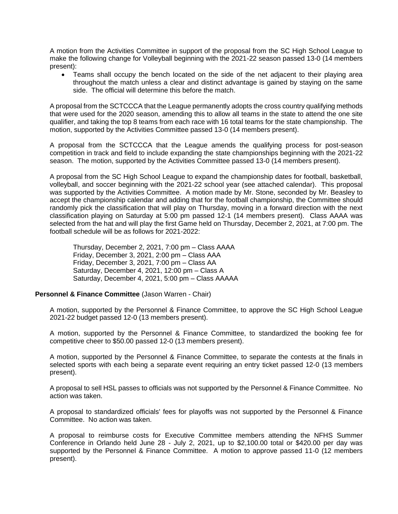A motion from the Activities Committee in support of the proposal from the SC High School League to make the following change for Volleyball beginning with the 2021-22 season passed 13-0 (14 members present):

• Teams shall occupy the bench located on the side of the net adjacent to their playing area throughout the match unless a clear and distinct advantage is gained by staying on the same side. The official will determine this before the match.

A proposal from the SCTCCCA that the League permanently adopts the cross country qualifying methods that were used for the 2020 season, amending this to allow all teams in the state to attend the one site qualifier, and taking the top 8 teams from each race with 16 total teams for the state championship. The motion, supported by the Activities Committee passed 13-0 (14 members present).

A proposal from the SCTCCCA that the League amends the qualifying process for post-season competition in track and field to include expanding the state championships beginning with the 2021-22 season. The motion, supported by the Activities Committee passed 13-0 (14 members present).

A proposal from the SC High School League to expand the championship dates for football, basketball, volleyball, and soccer beginning with the 2021-22 school year (see attached calendar). This proposal was supported by the Activities Committee. A motion made by Mr. Stone, seconded by Mr. Beasley to accept the championship calendar and adding that for the football championship, the Committee should randomly pick the classification that will play on Thursday, moving in a forward direction with the next classification playing on Saturday at 5:00 pm passed 12-1 (14 members present). Class AAAA was selected from the hat and will play the first Game held on Thursday, December 2, 2021, at 7:00 pm. The football schedule will be as follows for 2021-2022:

Thursday, December 2, 2021, 7:00 pm – Class AAAA Friday, December 3, 2021, 2:00 pm – Class AAA Friday, December 3, 2021, 7:00 pm – Class AA Saturday, December 4, 2021, 12:00 pm – Class A Saturday, December 4, 2021, 5:00 pm – Class AAAAA

### **Personnel & Finance Committee** (Jason Warren - Chair)

A motion, supported by the Personnel & Finance Committee, to approve the SC High School League 2021-22 budget passed 12-0 (13 members present).

A motion, supported by the Personnel & Finance Committee, to standardized the booking fee for competitive cheer to \$50.00 passed 12-0 (13 members present).

A motion, supported by the Personnel & Finance Committee, to separate the contests at the finals in selected sports with each being a separate event requiring an entry ticket passed 12-0 (13 members present).

A proposal to sell HSL passes to officials was not supported by the Personnel & Finance Committee. No action was taken.

A proposal to standardized officials' fees for playoffs was not supported by the Personnel & Finance Committee. No action was taken.

A proposal to reimburse costs for Executive Committee members attending the NFHS Summer Conference in Orlando held June 28 - July 2, 2021, up to \$2,100.00 total or \$420.00 per day was supported by the Personnel & Finance Committee. A motion to approve passed 11-0 (12 members present).